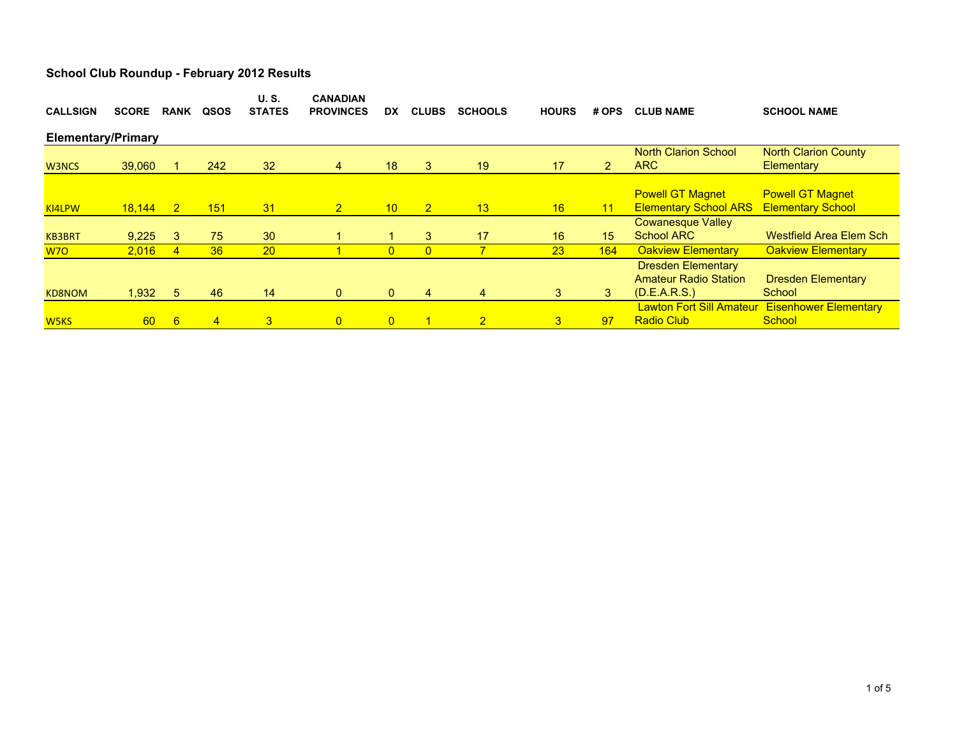|                           |                 |                                                                  |                | <b>CANADIAN</b> |                  |                |                |                |                             |                                 | <b>SCHOOL NAME</b>             |  |  |
|---------------------------|-----------------|------------------------------------------------------------------|----------------|-----------------|------------------|----------------|----------------|----------------|-----------------------------|---------------------------------|--------------------------------|--|--|
|                           |                 |                                                                  |                |                 |                  |                |                |                |                             |                                 |                                |  |  |
| <b>Elementary/Primary</b> |                 |                                                                  |                |                 |                  |                |                |                |                             |                                 |                                |  |  |
|                           |                 |                                                                  |                |                 |                  |                |                |                |                             | <b>North Clarion School</b>     | <b>North Clarion County</b>    |  |  |
|                           |                 | 242                                                              | 32             | 4               | 18               | 3              | 19             | 17             | $\overline{2}$              | <b>ARC</b>                      | Elementary                     |  |  |
|                           |                 |                                                                  |                |                 |                  |                |                |                |                             |                                 |                                |  |  |
|                           |                 |                                                                  |                |                 |                  |                |                |                |                             | <b>Powell GT Magnet</b>         | <b>Powell GT Magnet</b>        |  |  |
|                           | $\overline{2}$  | 151                                                              | 31             | 2 <sup>1</sup>  | 10               | $\overline{2}$ | 13             | 16             | 11                          | <b>Elementary School ARS</b>    | <b>Elementary School</b>       |  |  |
|                           |                 |                                                                  |                |                 |                  |                |                |                |                             | <b>Cowanesque Valley</b>        |                                |  |  |
|                           | 3               | 75                                                               | 30             |                 |                  | 3              | 17             | 16             | 15                          | <b>School ARC</b>               | <b>Westfield Area Elem Sch</b> |  |  |
|                           | $\overline{4}$  | 36                                                               | <b>20</b>      |                 | $\overline{0}$   | $\overline{0}$ | 7              | 23             | 164                         | <b>Oakview Elementary</b>       | <b>Oakview Elementary</b>      |  |  |
|                           |                 |                                                                  |                |                 |                  |                |                |                |                             | <b>Dresden Elementary</b>       |                                |  |  |
|                           |                 |                                                                  |                |                 |                  |                |                |                |                             | <b>Amateur Radio Station</b>    | <b>Dresden Elementary</b>      |  |  |
|                           | 5               | 46                                                               | 14             | $\mathbf{0}$    | $\mathbf{0}$     | $\overline{4}$ | $\overline{4}$ | 3              | 3                           | (D.E.A.R.S.)                    | School                         |  |  |
|                           |                 |                                                                  |                |                 |                  |                |                |                |                             | <b>Lawton Fort Sill Amateur</b> | <b>Eisenhower Elementary</b>   |  |  |
|                           | $6\overline{6}$ | $\overline{4}$                                                   | 3 <sup>1</sup> | $\overline{0}$  | $\overline{0}$   |                | $\overline{2}$ | 3 <sup>1</sup> | 97                          | <b>Radio Club</b>               | School                         |  |  |
|                           | <b>SCORE</b>    | <b>RANK</b><br>39,060<br>18,144<br>9,225<br>2,016<br>1,932<br>60 | QSOS           | <b>STATES</b>   | <b>PROVINCES</b> | <b>DX</b>      | <b>CLUBS</b>   | <b>SCHOOLS</b> | <b>U.S.</b><br><b>HOURS</b> | # OPS                           | <b>CLUB NAME</b>               |  |  |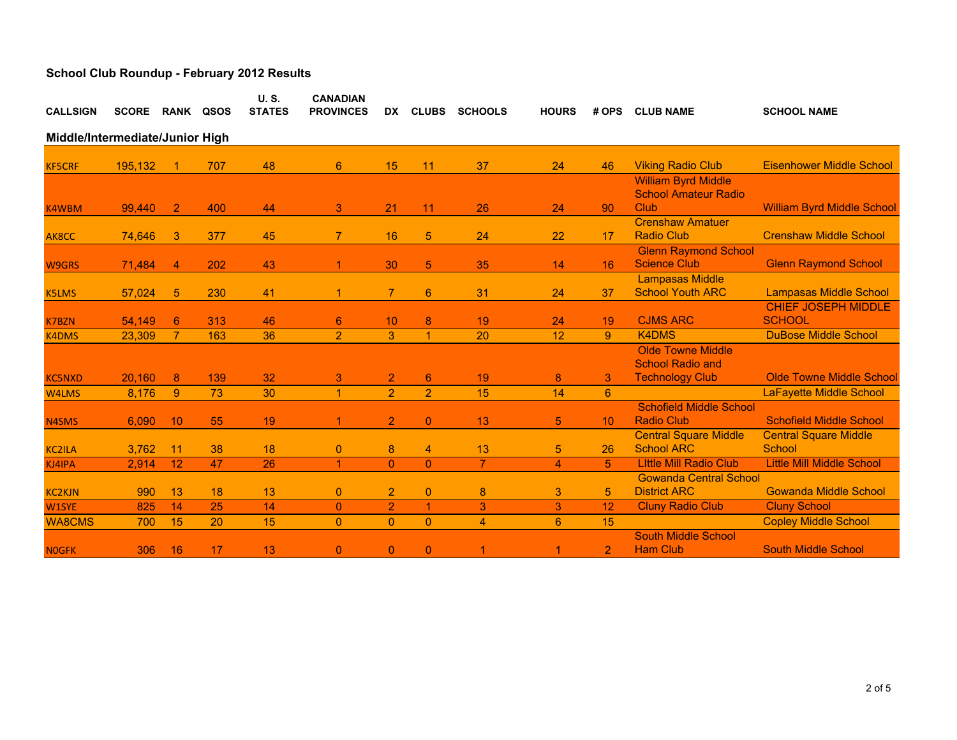| <b>CALLSIGN</b>                 | <b>SCORE</b> | RANK           | QSOS | <b>U.S.</b><br><b>STATES</b> | <b>CANADIAN</b><br><b>PROVINCES</b> | DX.            | <b>CLUBS</b>         | <b>SCHOOLS</b> | <b>HOURS</b>   | # OPS           | <b>CLUB NAME</b>                                          | <b>SCHOOL NAME</b>                            |  |
|---------------------------------|--------------|----------------|------|------------------------------|-------------------------------------|----------------|----------------------|----------------|----------------|-----------------|-----------------------------------------------------------|-----------------------------------------------|--|
| Middle/Intermediate/Junior High |              |                |      |                              |                                     |                |                      |                |                |                 |                                                           |                                               |  |
| <b>KF5CRF</b>                   | 195,132      |                | 707  | 48                           | 6                                   | 15             | 11                   | 37             | 24             | 46              | <b>Viking Radio Club</b>                                  | <b>Eisenhower Middle School</b>               |  |
|                                 |              |                |      |                              |                                     |                |                      |                |                |                 | <b>William Byrd Middle</b><br><b>School Amateur Radio</b> |                                               |  |
| K4WBM                           | 99,440       | $\overline{2}$ | 400  | 44                           | 3                                   | 21             | 11                   | 26             | 24             | 90              | Club                                                      | <b>William Byrd Middle School</b>             |  |
| AK8CC                           | 74,646       | 3              | 377  | 45                           | $\overline{7}$                      | 16             | 5 <sup>5</sup>       | 24             | 22             | 17              | <b>Crenshaw Amatuer</b><br><b>Radio Club</b>              | <b>Crenshaw Middle School</b>                 |  |
| <b>W9GRS</b>                    | 71,484       | $\overline{4}$ | 202  | 43                           | 1.                                  | 30             | 5 <sup>5</sup>       | 35             | 14             | 16              | <b>Glenn Raymond School</b><br><b>Science Club</b>        | <b>Glenn Raymond School</b>                   |  |
| <b>K5LMS</b>                    | 57,024       | 5              | 230  | 41                           | 1                                   | $\overline{7}$ | $6^{\circ}$          | 31             | 24             | 37              | <b>Lampasas Middle</b><br><b>School Youth ARC</b>         | <b>Lampasas Middle School</b>                 |  |
| <b>K7BZN</b>                    | 54.149       | 6              | 313  | 46                           | $6^{\circ}$                         | 10             | 8                    | 19             | 24             | 19              | <b>CJMS ARC</b>                                           | <b>CHIEF JOSEPH MIDDLE</b><br><b>SCHOOL</b>   |  |
| <b>K4DMS</b>                    | 23,309       | $\overline{7}$ | 163  | 36                           | $\overline{2}$                      | 3              | $\blacktriangleleft$ | 20             | 12             | 9               | <b>K4DMS</b>                                              | <b>DuBose Middle School</b>                   |  |
|                                 |              |                |      |                              |                                     |                |                      |                |                |                 | <b>Olde Towne Middle</b><br><b>School Radio and</b>       |                                               |  |
| <b>KC5NXD</b>                   | 20,160       | 8              | 139  | 32                           | 3                                   | $\overline{2}$ | $6^{\circ}$          | 19             | 8              | 3               | <b>Technology Club</b>                                    | <b>Olde Towne Middle School</b>               |  |
| W4LMS                           | 8,176        | 9              | 73   | 30                           | $\overline{1}$                      | $\overline{2}$ | $\overline{2}$       | 15             | 14             | 6               |                                                           | <b>LaFayette Middle School</b>                |  |
| N4SMS                           | 6,090        | 10             | 55   | 19                           | 1.                                  | $\overline{2}$ | $\mathbf{0}$         | 13             | $\overline{5}$ | 10 <sup>°</sup> | <b>Schofield Middle School</b><br><b>Radio Club</b>       | <b>Schofield Middle School</b>                |  |
| <b>KC2ILA</b>                   | 3,762        | 11             | 38   | 18                           | 0                                   | 8              | 4                    | 13             | 5              | 26              | <b>Central Square Middle</b><br><b>School ARC</b>         | <b>Central Square Middle</b><br><b>School</b> |  |
| KJ4IPA                          | 2,914        | 12             | 47   | 26                           | $\blacktriangleleft$                | $\overline{0}$ | $\Omega$             | $\overline{7}$ | $\overline{4}$ | 5               | <b>Little Mill Radio Club</b>                             | <b>Little Mill Middle School</b>              |  |
| <b>KC2KJN</b>                   | 990          | 13             | 18   | 13                           | $\mathbf{0}$                        | $\overline{2}$ | $\mathbf{0}$         | 8              | 3              | 5               | <b>Gowanda Central School</b><br><b>District ARC</b>      | <b>Gowanda Middle School</b>                  |  |
| W1SYE                           | 825          | 14             | 25   | 14                           | $\overline{0}$                      | $\overline{2}$ | 1                    | 3              | 3              | 12              | <b>Cluny Radio Club</b>                                   | <b>Cluny School</b>                           |  |
| <b>WA8CMS</b>                   | 700          | 15             | 20   | 15                           | $\overline{0}$                      | $\mathbf{0}$   | $\overline{0}$       | 4              | 6 <sup>°</sup> | 15              |                                                           | <b>Copley Middle School</b>                   |  |
| <b>NOGFK</b>                    | 306          | 16             | 17   | 13                           | $\mathbf{0}$                        | $\mathbf{0}$   | $\overline{0}$       | 1              | 1              | $\overline{2}$  | <b>South Middle School</b><br><b>Ham Club</b>             | <b>South Middle School</b>                    |  |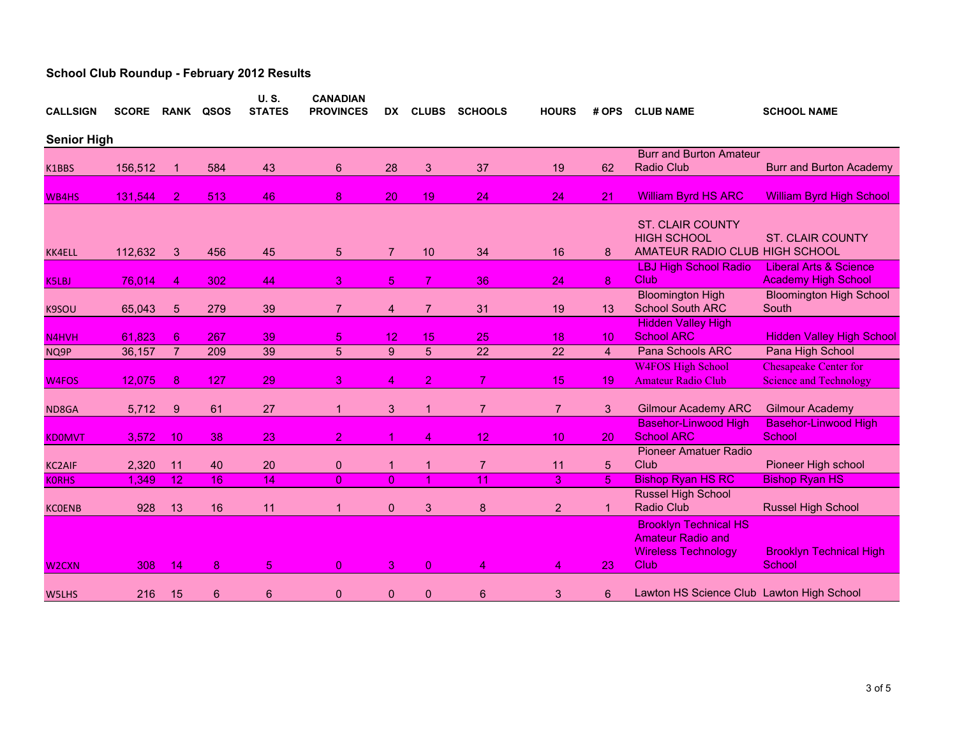| <b>CALLSIGN</b>    | <b>SCORE</b> |                | <b>RANK QSOS</b> | <b>U.S.</b><br><b>STATES</b> | <b>CANADIAN</b><br><b>PROVINCES</b> | DX.              | <b>CLUBS</b>    | <b>SCHOOLS</b>  | <b>HOURS</b>    | # OPS          | <b>CLUB NAME</b>                                                                               | <b>SCHOOL NAME</b>                                              |
|--------------------|--------------|----------------|------------------|------------------------------|-------------------------------------|------------------|-----------------|-----------------|-----------------|----------------|------------------------------------------------------------------------------------------------|-----------------------------------------------------------------|
| <b>Senior High</b> |              |                |                  |                              |                                     |                  |                 |                 |                 |                |                                                                                                |                                                                 |
|                    |              |                |                  |                              |                                     |                  |                 |                 |                 |                | <b>Burr and Burton Amateur</b>                                                                 |                                                                 |
| K1BBS              | 156,512      |                | 584              | 43                           | 6                                   | 28               | 3               | 37              | 19              | 62             | <b>Radio Club</b>                                                                              | <b>Burr and Burton Academy</b>                                  |
| WB4HS              | 131,544      | $\overline{2}$ | 513              | 46                           | 8                                   | 20               | 19              | 24              | 24              | 21             | <b>William Byrd HS ARC</b>                                                                     | <b>William Byrd High School</b>                                 |
| <b>KK4ELL</b>      | 112,632      | 3              | 456              | 45                           | 5                                   | $\overline{7}$   | 10              | 34              | 16              | 8              | <b>ST. CLAIR COUNTY</b><br><b>HIGH SCHOOL</b><br>AMATEUR RADIO CLUB HIGH SCHOOL                | <b>ST. CLAIR COUNTY</b>                                         |
|                    |              |                | 302              | 44                           | 3                                   | $\overline{5}$   | $\overline{7}$  | 36              | 24              | 8              | <b>LBJ High School Radio</b><br>Club                                                           | <b>Liberal Arts &amp; Science</b><br><b>Academy High School</b> |
| <b>K5LBJ</b>       | 76,014       | 4              |                  |                              |                                     |                  |                 |                 |                 |                | <b>Bloomington High</b>                                                                        |                                                                 |
| K9SOU              | 65,043       | 5              | 279              | 39                           | $\overline{7}$                      | 4                | $\overline{7}$  | 31              | 19              | 13             | <b>School South ARC</b>                                                                        | <b>Bloomington High School</b><br>South                         |
|                    |              |                |                  |                              |                                     |                  |                 |                 |                 |                | <b>Hidden Valley High</b>                                                                      |                                                                 |
| N4HVH              | 61,823       | $6^{\circ}$    | 267              | 39                           | 5                                   | 12               | 15 <sub>1</sub> | 25              | 18              | 10             | <b>School ARC</b>                                                                              | <b>Hidden Valley High School</b>                                |
| NQ9P               | 36,157       | $\overline{7}$ | 209              | 39                           | 5                                   | $\boldsymbol{9}$ | 5               | $\overline{22}$ | 22              | $\overline{4}$ | Pana Schools ARC                                                                               | Pana High School                                                |
|                    |              |                |                  |                              |                                     |                  |                 |                 |                 |                | <b>W4FOS High School</b>                                                                       | <b>Chesapeake Center for</b>                                    |
| W4FOS              | 12,075       | 8              | 127              | 29                           | 3                                   | 4                | $\overline{2}$  | $\overline{7}$  | 15              | 19             | <b>Amateur Radio Club</b>                                                                      | <b>Science and Technology</b>                                   |
| ND8GA              | 5,712        | 9              | 61               | 27                           | 1.                                  | 3                | $\mathbf{1}$    | $\overline{7}$  | $\overline{7}$  | 3              | <b>Gilmour Academy ARC</b>                                                                     | <b>Gilmour Academy</b>                                          |
|                    |              |                |                  |                              |                                     |                  |                 |                 |                 |                | <b>Basehor-Linwood High</b>                                                                    | <b>Basehor-Linwood High</b>                                     |
| <b>KDOMVT</b>      | 3,572        | 10             | 38               | 23                           | $\overline{2}$                      | 1                | 4               | 12              | 10 <sup>°</sup> | 20             | <b>School ARC</b>                                                                              | School                                                          |
|                    |              |                |                  |                              |                                     |                  |                 |                 |                 |                | <b>Pioneer Amatuer Radio</b>                                                                   |                                                                 |
| <b>KC2AIF</b>      | 2,320        | 11             | 40               | 20                           | 0                                   | 1                | 1               | $\overline{7}$  | 11              | 5              | Club                                                                                           | Pioneer High school                                             |
| <b>KORHS</b>       | 1,349        | 12             | 16               | 14                           | $\overline{0}$                      | $\overline{0}$   |                 | 11              | 3               | 5              | <b>Bishop Ryan HS RC</b>                                                                       | <b>Bishop Ryan HS</b>                                           |
| <b>KCOENB</b>      | 928          | 13             | 16               | 11                           |                                     | $\Omega$         | 3               | 8               | $\overline{2}$  | $\mathbf 1$    | Russel High School<br><b>Radio Club</b>                                                        | <b>Russel High School</b>                                       |
| W <sub>2</sub> CXN | 308          | 14             | 8                | 5                            | $\overline{0}$                      | 3                | $\overline{0}$  | 4               | 4               | 23             | <b>Brooklyn Technical HS</b><br><b>Amateur Radio and</b><br><b>Wireless Technology</b><br>Club | <b>Brooklyn Technical High</b><br><b>School</b>                 |
|                    |              |                |                  |                              |                                     |                  |                 |                 |                 |                |                                                                                                |                                                                 |
| W5LHS              | 216          | 15             | 6                | 6                            | 0                                   | $\mathbf{0}$     | $\mathbf{0}$    | 6               | 3               | 6              | Lawton HS Science Club Lawton High School                                                      |                                                                 |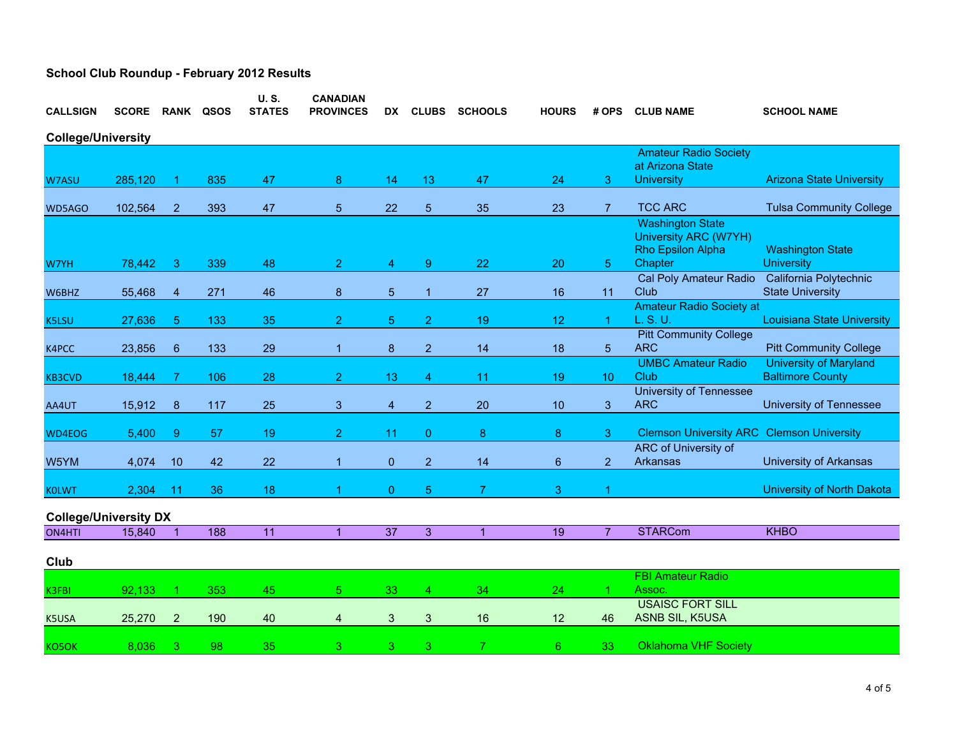| <b>CALLSIGN</b>              | <b>SCORE</b> | <b>RANK</b>      | QSOS | <b>U.S.</b><br><b>STATES</b> | <b>CANADIAN</b><br><b>PROVINCES</b> | DX.                     | <b>CLUBS</b>   | <b>SCHOOLS</b> | <b>HOURS</b> | # OPS          | <b>CLUB NAME</b>                                  | <b>SCHOOL NAME</b>                |
|------------------------------|--------------|------------------|------|------------------------------|-------------------------------------|-------------------------|----------------|----------------|--------------|----------------|---------------------------------------------------|-----------------------------------|
| <b>College/University</b>    |              |                  |      |                              |                                     |                         |                |                |              |                |                                                   |                                   |
| <b>Amateur Radio Society</b> |              |                  |      |                              |                                     |                         |                |                |              |                |                                                   |                                   |
| <b>W7ASU</b>                 | 285,120      |                  | 835  | 47                           | 8                                   | 14                      | 13             | 47             | 24           | 3              | at Arizona State<br><b>University</b>             | <b>Arizona State University</b>   |
|                              |              |                  |      |                              |                                     |                         |                |                |              |                |                                                   |                                   |
| WD5AGO                       | 102,564      | $\overline{2}$   | 393  | 47                           | 5                                   | 22                      | $\overline{5}$ | 35             | 23           | $\overline{7}$ | <b>TCC ARC</b>                                    | <b>Tulsa Community College</b>    |
|                              |              |                  |      |                              |                                     |                         |                |                |              |                | <b>Washington State</b>                           |                                   |
|                              |              |                  |      |                              |                                     |                         |                |                |              |                | <b>University ARC (W7YH)</b><br>Rho Epsilon Alpha | <b>Washington State</b>           |
| W7YH                         | 78,442       | 3                | 339  | 48                           | $\overline{2}$                      | 4                       | 9              | 22             | 20           | 5              | Chapter                                           | <b>University</b>                 |
|                              |              |                  |      |                              |                                     |                         |                |                |              |                | Cal Poly Amateur Radio                            | California Polytechnic            |
| W6BHZ                        | 55,468       | $\overline{4}$   | 271  | 46                           | 8                                   | $\overline{5}$          | $\mathbf{1}$   | 27             | 16           | 11             | Club                                              | <b>State University</b>           |
| <b>K5LSU</b>                 | 27,636       | 5                | 133  | 35                           | $\overline{2}$                      | $\overline{5}$          | $\overline{2}$ | 19             | 12           | 1              | <b>Amateur Radio Society at</b><br>L. S. U.       | <b>Louisiana State University</b> |
|                              |              |                  |      |                              |                                     |                         |                |                |              |                | <b>Pitt Community College</b>                     |                                   |
| K4PCC                        | 23,856       | $\boldsymbol{6}$ | 133  | 29                           | 1                                   | $\bf8$                  | $\overline{2}$ | 14             | 18           | 5              | <b>ARC</b>                                        | <b>Pitt Community College</b>     |
|                              |              |                  |      |                              |                                     |                         |                |                |              |                | <b>UMBC Amateur Radio</b>                         | <b>University of Maryland</b>     |
| <b>KB3CVD</b>                | 18,444       | 7                | 106  | 28                           | $\overline{2}$                      | 13                      | 4              | 11             | 19           | 10             | Club                                              | <b>Baltimore County</b>           |
|                              | 15,912       |                  | 117  | 25                           | 3                                   |                         | $\overline{2}$ | 20             | 10           |                | <b>University of Tennessee</b><br><b>ARC</b>      | <b>University of Tennessee</b>    |
| AA4UT                        |              | 8                |      |                              |                                     | $\overline{\mathbf{4}}$ |                |                |              | 3              |                                                   |                                   |
| WD4EOG                       | 5,400        | 9                | 57   | 19                           | $\overline{2}$                      | 11                      | $\overline{0}$ | 8              | 8            | 3              | <b>Clemson University ARC Clemson University</b>  |                                   |
|                              |              |                  |      |                              |                                     |                         |                |                |              |                | ARC of University of                              |                                   |
| W5YM                         | 4,074        | 10               | 42   | 22                           | $\overline{1}$                      | $\overline{0}$          | $\overline{2}$ | 14             | $\,6\,$      | $\overline{2}$ | Arkansas                                          | University of Arkansas            |
| <b>KOLWT</b>                 | 2,304        | 11               | 36   | 18                           | 1                                   | $\Omega$                | 5              | $\overline{7}$ | 3            |                |                                                   | <b>University of North Dakota</b> |
|                              |              |                  |      |                              |                                     |                         |                |                |              |                |                                                   |                                   |
| <b>College/University DX</b> |              |                  |      |                              |                                     |                         |                |                |              |                |                                                   |                                   |
| ON4HTI                       | 15,840       | $\overline{1}$   | 188  | $\overline{11}$              | $\overline{1}$                      | $\overline{37}$         | 3              | $\overline{1}$ | 19           | $\overline{7}$ | <b>STARCom</b>                                    | <b>KHBO</b>                       |
| Club                         |              |                  |      |                              |                                     |                         |                |                |              |                |                                                   |                                   |
|                              |              |                  |      |                              |                                     |                         |                |                |              |                | <b>FBI Amateur Radio</b>                          |                                   |
| K3FBI                        | 92.133       |                  | 353  | 45                           | 5                                   | 33                      | 4              | 34             | 24           |                | Assoc.                                            |                                   |
|                              |              |                  |      |                              |                                     |                         |                |                |              |                | <b>USAISC FORT SILL</b><br>ASNB SIL, K5USA        |                                   |
| K5USA                        | 25,270       | $\overline{2}$   | 190  | 40                           | 4                                   | 3                       | 3              | 16             | 12           | 46             |                                                   |                                   |
| KO5OK                        | 8,036        | 3                | 98   | 35                           | 3                                   | 3                       | 3              | 7              | 6            | 33             | <b>Oklahoma VHF Society</b>                       |                                   |
|                              |              |                  |      |                              |                                     |                         |                |                |              |                |                                                   |                                   |